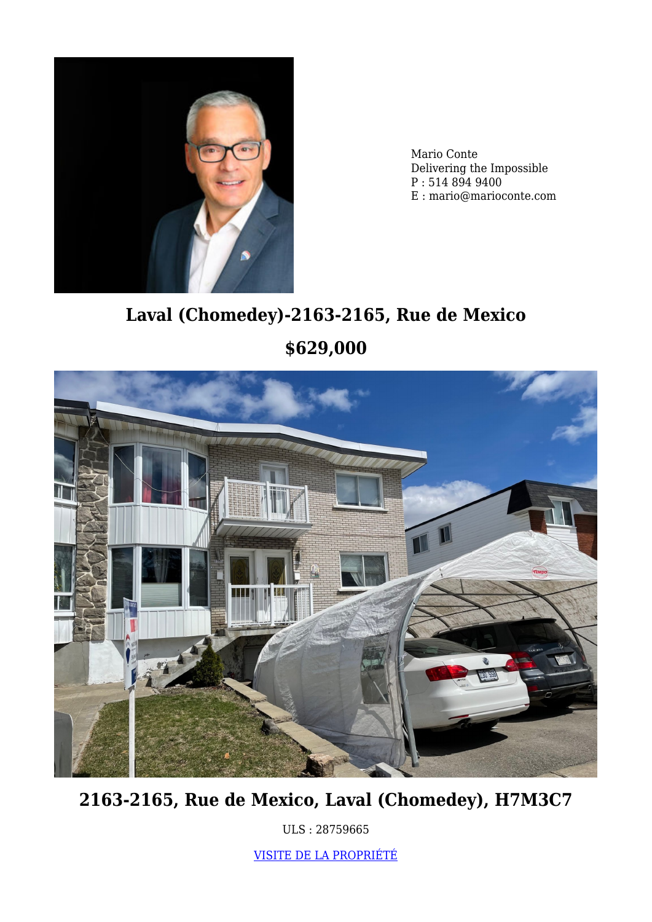

Mario Conte Delivering the Impossible P : 514 894 9400 E : mario@marioconte.com

# **Laval (Chomedey)-2163-2165, Rue de Mexico \$629,000**



**2163-2165, Rue de Mexico, Laval (Chomedey), H7M3C7**

ULS : 28759665

[VISITE DE LA PROPRIÉTÉ](https://www.marioconte.com/en/?p=5638)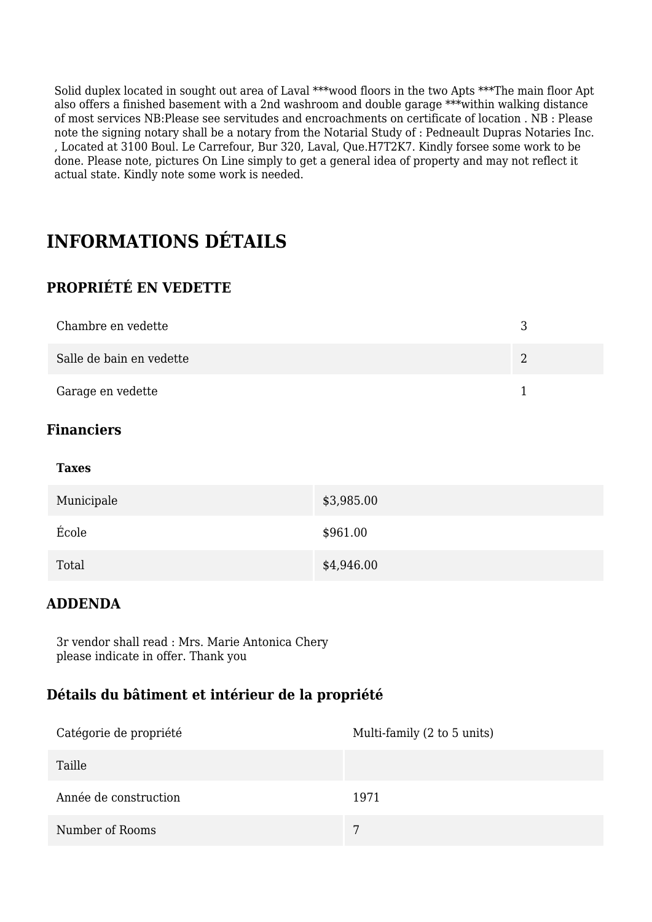Solid duplex located in sought out area of Laval \*\*\*wood floors in the two Apts \*\*\*The main floor Apt also offers a finished basement with a 2nd washroom and double garage \*\*\*within walking distance of most services NB:Please see servitudes and encroachments on certificate of location . NB : Please note the signing notary shall be a notary from the Notarial Study of : Pedneault Dupras Notaries Inc. , Located at 3100 Boul. Le Carrefour, Bur 320, Laval, Que.H7T2K7. Kindly forsee some work to be done. Please note, pictures On Line simply to get a general idea of property and may not reflect it actual state. Kindly note some work is needed.

# **INFORMATIONS DÉTAILS**

#### **PROPRIÉTÉ EN VEDETTE**

| Chambre en vedette       |  |
|--------------------------|--|
| Salle de bain en vedette |  |
| Garage en vedette        |  |

#### **Financiers**

| Municipale | \$3,985.00 |
|------------|------------|
| École      | \$961.00   |
| Total      | \$4,946.00 |

#### **ADDENDA**

3r vendor shall read : Mrs. Marie Antonica Chery please indicate in offer. Thank you

#### **Détails du bâtiment et intérieur de la propriété**

| Catégorie de propriété | Multi-family (2 to 5 units) |
|------------------------|-----------------------------|
| Taille                 |                             |
| Année de construction  | 1971                        |
| Number of Rooms        | 7                           |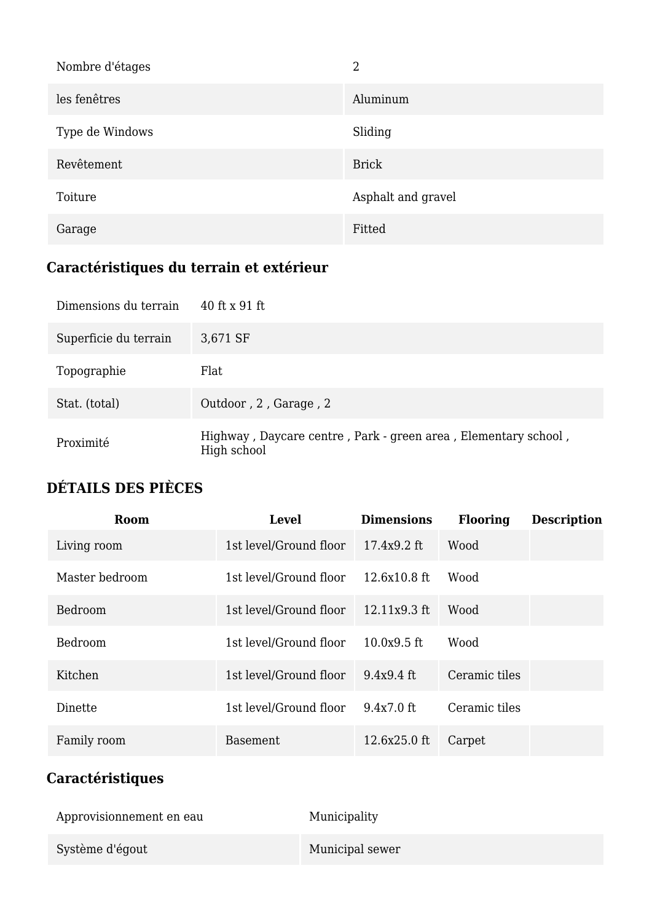| Nombre d'étages | 2                  |
|-----------------|--------------------|
| les fenêtres    | Aluminum           |
| Type de Windows | Sliding            |
| Revêtement      | <b>Brick</b>       |
| Toiture         | Asphalt and gravel |
| Garage          | Fitted             |

# **Caractéristiques du terrain et extérieur**

| Dimensions du terrain | 40 ft x 91 ft                                                                 |
|-----------------------|-------------------------------------------------------------------------------|
| Superficie du terrain | 3,671 SF                                                                      |
| Topographie           | Flat                                                                          |
| Stat. (total)         | Outdoor, 2, Garage, 2                                                         |
| Proximité             | Highway, Daycare centre, Park - green area, Elementary school,<br>High school |

### **DÉTAILS DES PIÈCES**

| Room           | <b>Level</b>           | <b>Dimensions</b> | <b>Flooring</b> | <b>Description</b> |
|----------------|------------------------|-------------------|-----------------|--------------------|
| Living room    | 1st level/Ground floor | $17.4x9.2$ ft     | Wood            |                    |
| Master bedroom | 1st level/Ground floor | 12.6x10.8 ft      | Wood            |                    |
| Bedroom        | 1st level/Ground floor | 12.11x9.3 ft      | Wood            |                    |
| Bedroom        | 1st level/Ground floor | $10.0x9.5$ ft     | Wood            |                    |
| Kitchen        | 1st level/Ground floor | $9.4x9.4$ ft      | Ceramic tiles   |                    |
| Dinette        | 1st level/Ground floor | $9.4x7.0$ ft      | Ceramic tiles   |                    |
| Family room    | <b>Basement</b>        | 12.6x25.0 ft      | Carpet          |                    |

# **Caractéristiques**

| Approvisionnement en eau | Municipality    |
|--------------------------|-----------------|
| Système d'égout          | Municipal sewer |